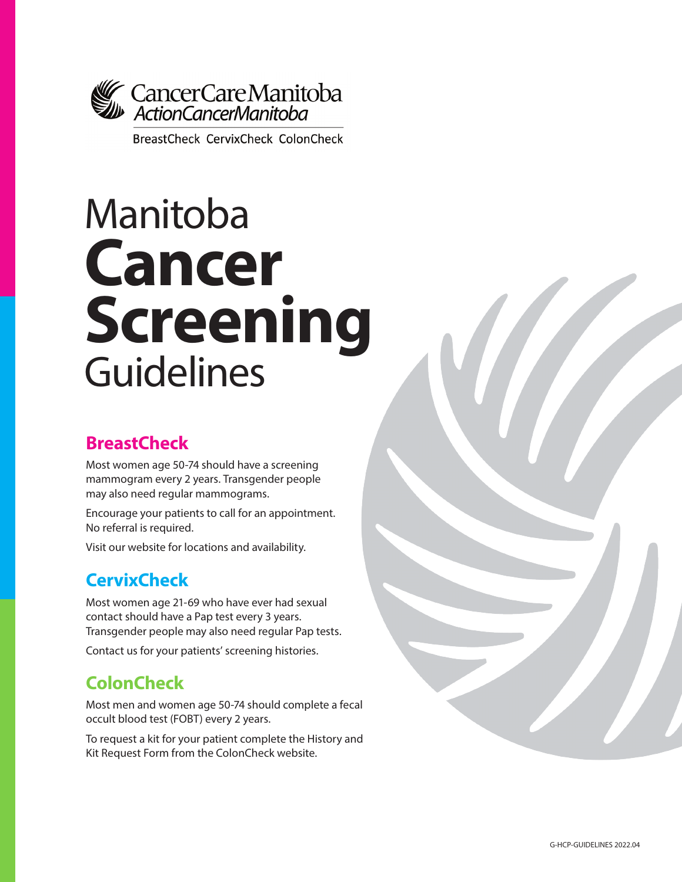

**BreastCheck CervixCheck ColonCheck** 

# Manitoba **Cancer Screening** Guidelines

## **BreastCheck**

Most women age 50-74 should have a screening mammogram every 2 years. Transgender people may also need regular mammograms.

Encourage your patients to call for an appointment. No referral is required.

Visit our website for locations and availability.

# **CervixCheck**

Most women age 21-69 who have ever had sexual contact should have a Pap test every 3 years. Transgender people may also need regular Pap tests. Contact us for your patients' screening histories.

# **ColonCheck**

Most men and women age 50-74 should complete a fecal occult blood test (FOBT) every 2 years.

To request a kit for your patient complete the History and Kit Request Form from the ColonCheck website.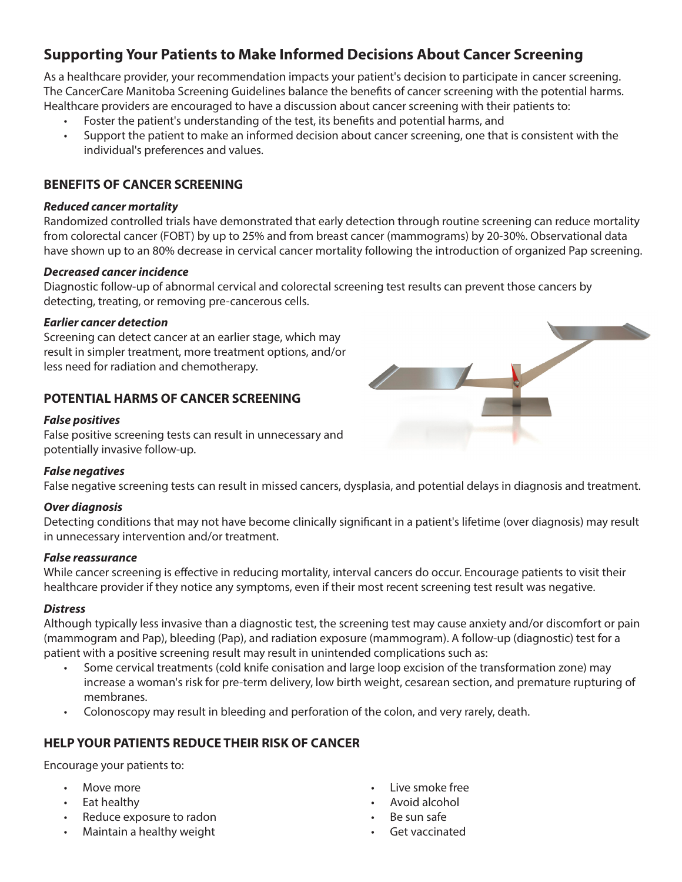## **Supporting Your Patients to Make Informed Decisions About Cancer Screening**

As a healthcare provider, your recommendation impacts your patient's decision to participate in cancer screening. The CancerCare Manitoba Screening Guidelines balance the benefits of cancer screening with the potential harms. Healthcare providers are encouraged to have a discussion about cancer screening with their patients to:

- Foster the patient's understanding of the test, its benefits and potential harms, and
- Support the patient to make an informed decision about cancer screening, one that is consistent with the individual's preferences and values.

#### **BENEFITS OF CANCER SCREENING**

#### *Reduced cancer mortality*

Randomized controlled trials have demonstrated that early detection through routine screening can reduce mortality from colorectal cancer (FOBT) by up to 25% and from breast cancer (mammograms) by 20-30%. Observational data have shown up to an 80% decrease in cervical cancer mortality following the introduction of organized Pap screening.

#### *Decreased cancer incidence*

Diagnostic follow-up of abnormal cervical and colorectal screening test results can prevent those cancers by detecting, treating, or removing pre-cancerous cells.

#### *Earlier cancer detection*

Screening can detect cancer at an earlier stage, which may result in simpler treatment, more treatment options, and/or less need for radiation and chemotherapy.

#### **POTENTIAL HARMS OF CANCER SCREENING**

#### *False positives*

False positive screening tests can result in unnecessary and potentially invasive follow-up.

#### *False negatives*

False negative screening tests can result in missed cancers, dysplasia, and potential delays in diagnosis and treatment.

#### *Over diagnosis*

Detecting conditions that may not have become clinically significant in a patient's lifetime (over diagnosis) may result in unnecessary intervention and/or treatment.

#### *False reassurance*

While cancer screening is effective in reducing mortality, interval cancers do occur. Encourage patients to visit their healthcare provider if they notice any symptoms, even if their most recent screening test result was negative.

#### *Distress*

Although typically less invasive than a diagnostic test, the screening test may cause anxiety and/or discomfort or pain (mammogram and Pap), bleeding (Pap), and radiation exposure (mammogram). A follow-up (diagnostic) test for a patient with a positive screening result may result in unintended complications such as:

- Some cervical treatments (cold knife conisation and large loop excision of the transformation zone) may increase a woman's risk for pre-term delivery, low birth weight, cesarean section, and premature rupturing of membranes.
- Colonoscopy may result in bleeding and perforation of the colon, and very rarely, death.

#### **HELP YOUR PATIENTS REDUCE THEIR RISK OF CANCER**

Encourage your patients to:

- Move more
- Eat healthy
- Reduce exposure to radon
- Maintain a healthy weight
- Live smoke free
- Avoid alcohol
- Be sun safe
- Get vaccinated

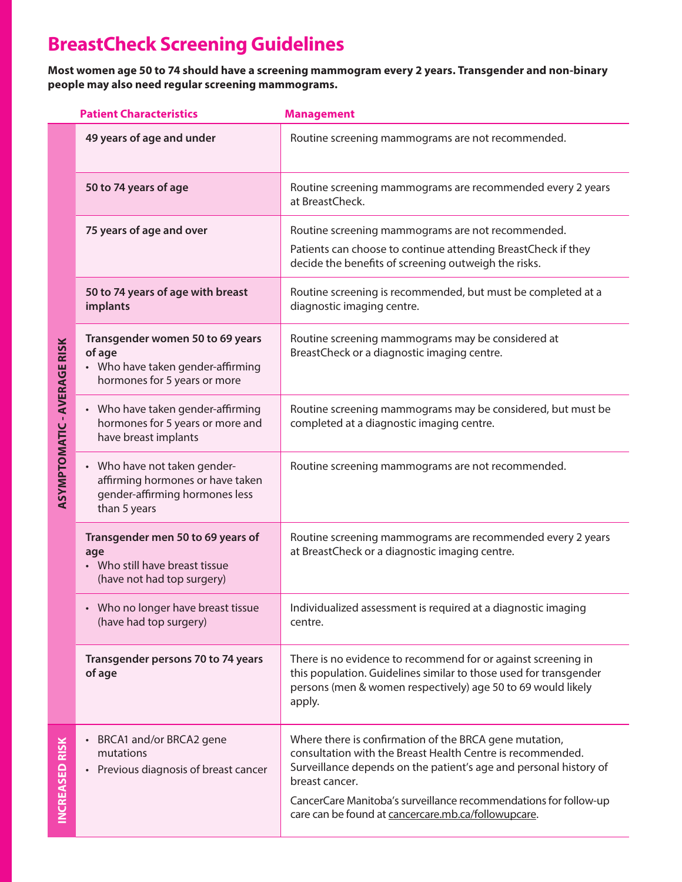# **BreastCheck Screening Guidelines**

**Most women age 50 to 74 should have a screening mammogram every 2 years. Transgender and non-binary people may also need regular screening mammograms.**

|                                    | <b>Patient Characteristics</b>                                                                                   | <b>Management</b>                                                                                                                                                                                                                                                                                                                      |
|------------------------------------|------------------------------------------------------------------------------------------------------------------|----------------------------------------------------------------------------------------------------------------------------------------------------------------------------------------------------------------------------------------------------------------------------------------------------------------------------------------|
| <b>ASYMPTOMATIC - AVERAGE RISK</b> | 49 years of age and under                                                                                        | Routine screening mammograms are not recommended.                                                                                                                                                                                                                                                                                      |
|                                    | 50 to 74 years of age                                                                                            | Routine screening mammograms are recommended every 2 years<br>at BreastCheck.                                                                                                                                                                                                                                                          |
|                                    | 75 years of age and over                                                                                         | Routine screening mammograms are not recommended.<br>Patients can choose to continue attending BreastCheck if they<br>decide the benefits of screening outweigh the risks.                                                                                                                                                             |
|                                    | 50 to 74 years of age with breast<br>implants                                                                    | Routine screening is recommended, but must be completed at a<br>diagnostic imaging centre.                                                                                                                                                                                                                                             |
|                                    | Transgender women 50 to 69 years<br>of age<br>• Who have taken gender-affirming<br>hormones for 5 years or more  | Routine screening mammograms may be considered at<br>BreastCheck or a diagnostic imaging centre.                                                                                                                                                                                                                                       |
|                                    | Who have taken gender-affirming<br>hormones for 5 years or more and<br>have breast implants                      | Routine screening mammograms may be considered, but must be<br>completed at a diagnostic imaging centre.                                                                                                                                                                                                                               |
|                                    | Who have not taken gender-<br>affirming hormones or have taken<br>gender-affirming hormones less<br>than 5 years | Routine screening mammograms are not recommended.                                                                                                                                                                                                                                                                                      |
|                                    | Transgender men 50 to 69 years of<br>age<br>• Who still have breast tissue<br>(have not had top surgery)         | Routine screening mammograms are recommended every 2 years<br>at BreastCheck or a diagnostic imaging centre.                                                                                                                                                                                                                           |
|                                    | Who no longer have breast tissue<br>(have had top surgery)                                                       | Individualized assessment is required at a diagnostic imaging<br>centre.                                                                                                                                                                                                                                                               |
|                                    | Transgender persons 70 to 74 years<br>of age                                                                     | There is no evidence to recommend for or against screening in<br>this population. Guidelines similar to those used for transgender<br>persons (men & women respectively) age 50 to 69 would likely<br>apply.                                                                                                                           |
| <b>INCREASED RISK</b>              | BRCA1 and/or BRCA2 gene<br>mutations<br>Previous diagnosis of breast cancer                                      | Where there is confirmation of the BRCA gene mutation,<br>consultation with the Breast Health Centre is recommended.<br>Surveillance depends on the patient's age and personal history of<br>breast cancer.<br>CancerCare Manitoba's surveillance recommendations for follow-up<br>care can be found at cancercare.mb.ca/followupcare. |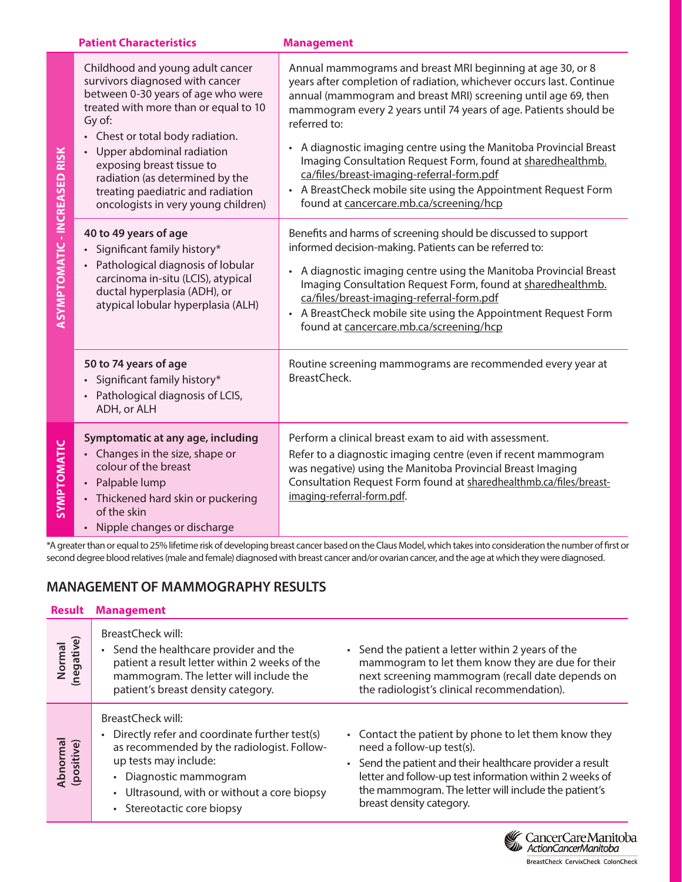|                        | <b>Patient Characteristics</b>                                                                                                                                                                                                                                                                                                                                            | <b>Management</b>                                                                                                                                                                                                                                                                                                                                                                                                                                                                                                                                                                      |
|------------------------|---------------------------------------------------------------------------------------------------------------------------------------------------------------------------------------------------------------------------------------------------------------------------------------------------------------------------------------------------------------------------|----------------------------------------------------------------------------------------------------------------------------------------------------------------------------------------------------------------------------------------------------------------------------------------------------------------------------------------------------------------------------------------------------------------------------------------------------------------------------------------------------------------------------------------------------------------------------------------|
| CREASED<br>ASYMPTOMATI | Childhood and young adult cancer<br>survivors diagnosed with cancer<br>between 0-30 years of age who were<br>treated with more than or equal to 10<br>Gy of:<br>• Chest or total body radiation.<br>Upper abdominal radiation<br>exposing breast tissue to<br>radiation (as determined by the<br>treating paediatric and radiation<br>oncologists in very young children) | Annual mammograms and breast MRI beginning at age 30, or 8<br>years after completion of radiation, whichever occurs last. Continue<br>annual (mammogram and breast MRI) screening until age 69, then<br>mammogram every 2 years until 74 years of age. Patients should be<br>referred to:<br>A diagnostic imaging centre using the Manitoba Provincial Breast<br>Imaging Consultation Request Form, found at sharedhealthmb.<br>ca/files/breast-imaging-referral-form.pdf<br>• A BreastCheck mobile site using the Appointment Request Form<br>found at cancercare.mb.ca/screening/hcp |
|                        | 40 to 49 years of age<br>Significant family history*<br>Pathological diagnosis of lobular<br>carcinoma in-situ (LCIS), atypical<br>ductal hyperplasia (ADH), or<br>atypical lobular hyperplasia (ALH)                                                                                                                                                                     | Benefits and harms of screening should be discussed to support<br>informed decision-making. Patients can be referred to:<br>A diagnostic imaging centre using the Manitoba Provincial Breast<br>Imaging Consultation Request Form, found at sharedhealthmb.<br>ca/files/breast-imaging-referral-form.pdf<br>• A BreastCheck mobile site using the Appointment Request Form<br>found at cancercare.mb.ca/screening/hcp                                                                                                                                                                  |
|                        | 50 to 74 years of age<br>Significant family history*<br>• Pathological diagnosis of LCIS,<br>ADH, or ALH                                                                                                                                                                                                                                                                  | Routine screening mammograms are recommended every year at<br>BreastCheck.                                                                                                                                                                                                                                                                                                                                                                                                                                                                                                             |
| SYMPTOMATIC            | Symptomatic at any age, including<br>Changes in the size, shape or<br>colour of the breast<br>Palpable lump<br>Thickened hard skin or puckering<br>of the skin<br>• Nipple changes or discharge                                                                                                                                                                           | Perform a clinical breast exam to aid with assessment.<br>Refer to a diagnostic imaging centre (even if recent mammogram<br>was negative) using the Manitoba Provincial Breast Imaging<br>Consultation Request Form found at sharedhealthmb.ca/files/breast-<br>imaging-referral-form.pdf.                                                                                                                                                                                                                                                                                             |

\*A greater than or equal to 25% lifetime risk of developing breast cancer based on the Claus Model, which takes into consideration the number of first or second degree blood relatives (male and female) diagnosed with breast cancer and/or ovarian cancer, and the age at which they were diagnosed.

## **MANAGEMENT OF MAMMOGRAPHY RESULTS**

| <b>Result</b>          | <b>Management</b>                                                                                                                                                                                                                                |                                                                                                                                                                                                                                                                                             |
|------------------------|--------------------------------------------------------------------------------------------------------------------------------------------------------------------------------------------------------------------------------------------------|---------------------------------------------------------------------------------------------------------------------------------------------------------------------------------------------------------------------------------------------------------------------------------------------|
| Normal<br>(negative)   | BreastCheck will:<br>Send the healthcare provider and the<br>patient a result letter within 2 weeks of the<br>mammogram. The letter will include the<br>patient's breast density category.                                                       | Send the patient a letter within 2 years of the<br>mammogram to let them know they are due for their<br>next screening mammogram (recall date depends on<br>the radiologist's clinical recommendation).                                                                                     |
| Abnormal<br>(positive) | BreastCheck will:<br>Directly refer and coordinate further test(s)<br>as recommended by the radiologist. Follow-<br>up tests may include:<br>• Diagnostic mammogram<br>• Ultrasound, with or without a core biopsy<br>• Stereotactic core biopsy | • Contact the patient by phone to let them know they<br>need a follow-up test(s).<br>Send the patient and their healthcare provider a result<br>letter and follow-up test information within 2 weeks of<br>the mammogram. The letter will include the patient's<br>breast density category. |

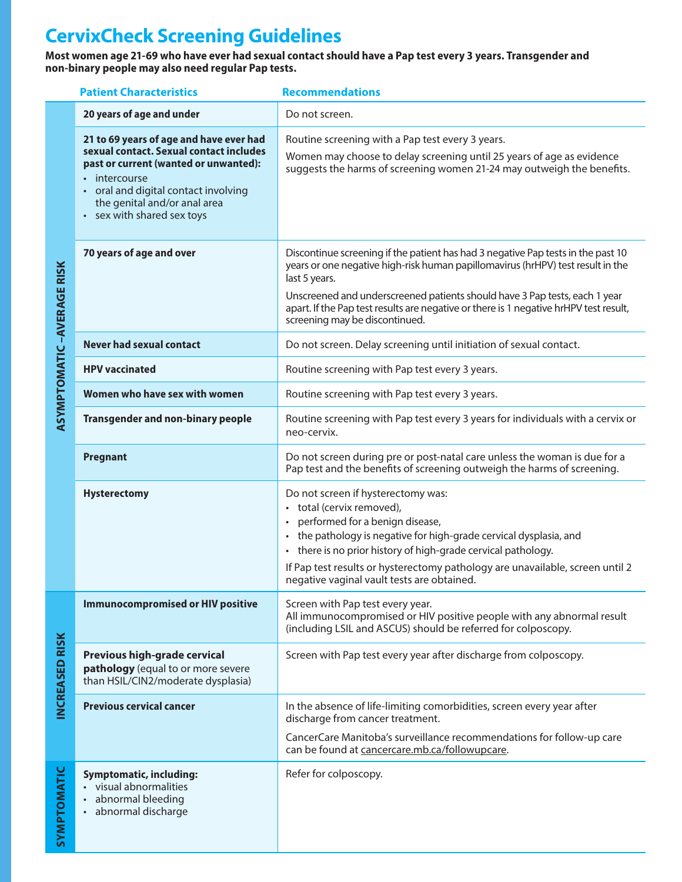# **CervixCheck Screening Guidelines**

**Most women age 21-69 who have ever had sexual contact should have a Pap test every 3 years. Transgender and non-binary people may also need regular Pap tests.**

|                                  | <b>Patient Characteristics</b>                                                                                                                                                                                                                   | <b>Recommendations</b>                                                                                                                                                                                                                                                                                                                                                                         |
|----------------------------------|--------------------------------------------------------------------------------------------------------------------------------------------------------------------------------------------------------------------------------------------------|------------------------------------------------------------------------------------------------------------------------------------------------------------------------------------------------------------------------------------------------------------------------------------------------------------------------------------------------------------------------------------------------|
| <b>ASYMPTOMATIC-AVERAGE RISK</b> | 20 years of age and under                                                                                                                                                                                                                        | Do not screen.                                                                                                                                                                                                                                                                                                                                                                                 |
|                                  | 21 to 69 years of age and have ever had<br>sexual contact. Sexual contact includes<br>past or current (wanted or unwanted):<br>• intercourse<br>oral and digital contact involving<br>the genital and/or anal area<br>• sex with shared sex toys | Routine screening with a Pap test every 3 years.<br>Women may choose to delay screening until 25 years of age as evidence<br>suggests the harms of screening women 21-24 may outweigh the benefits.                                                                                                                                                                                            |
|                                  | 70 years of age and over                                                                                                                                                                                                                         | Discontinue screening if the patient has had 3 negative Pap tests in the past 10<br>years or one negative high-risk human papillomavirus (hrHPV) test result in the<br>last 5 years.<br>Unscreened and underscreened patients should have 3 Pap tests, each 1 year<br>apart. If the Pap test results are negative or there is 1 negative hrHPV test result,<br>screening may be discontinued.  |
|                                  | <b>Never had sexual contact</b>                                                                                                                                                                                                                  | Do not screen. Delay screening until initiation of sexual contact.                                                                                                                                                                                                                                                                                                                             |
|                                  | <b>HPV</b> vaccinated                                                                                                                                                                                                                            | Routine screening with Pap test every 3 years.                                                                                                                                                                                                                                                                                                                                                 |
|                                  | Women who have sex with women                                                                                                                                                                                                                    | Routine screening with Pap test every 3 years.                                                                                                                                                                                                                                                                                                                                                 |
|                                  | <b>Transgender and non-binary people</b>                                                                                                                                                                                                         | Routine screening with Pap test every 3 years for individuals with a cervix or<br>neo-cervix.                                                                                                                                                                                                                                                                                                  |
|                                  | Pregnant                                                                                                                                                                                                                                         | Do not screen during pre or post-natal care unless the woman is due for a<br>Pap test and the benefits of screening outweigh the harms of screening.                                                                                                                                                                                                                                           |
|                                  | <b>Hysterectomy</b>                                                                                                                                                                                                                              | Do not screen if hysterectomy was:<br>• total (cervix removed),<br>performed for a benign disease,<br>$\bullet$<br>the pathology is negative for high-grade cervical dysplasia, and<br>there is no prior history of high-grade cervical pathology.<br>$\bullet$<br>If Pap test results or hysterectomy pathology are unavailable, screen until 2<br>negative vaginal vault tests are obtained. |
| <b>INCREASED RISK</b>            | <b>Immunocompromised or HIV positive</b>                                                                                                                                                                                                         | Screen with Pap test every year.<br>All immunocompromised or HIV positive people with any abnormal result<br>(including LSIL and ASCUS) should be referred for colposcopy.                                                                                                                                                                                                                     |
|                                  | Previous high-grade cervical<br>pathology (equal to or more severe<br>than HSIL/CIN2/moderate dysplasia)                                                                                                                                         | Screen with Pap test every year after discharge from colposcopy.                                                                                                                                                                                                                                                                                                                               |
|                                  | <b>Previous cervical cancer</b>                                                                                                                                                                                                                  | In the absence of life-limiting comorbidities, screen every year after<br>discharge from cancer treatment.<br>CancerCare Manitoba's surveillance recommendations for follow-up care<br>can be found at cancercare.mb.ca/followupcare.                                                                                                                                                          |
| <b>SYMPTOMATIC</b>               | <b>Symptomatic, including:</b><br>visual abnormalities<br>abnormal bleeding<br>abnormal discharge                                                                                                                                                | Refer for colposcopy.                                                                                                                                                                                                                                                                                                                                                                          |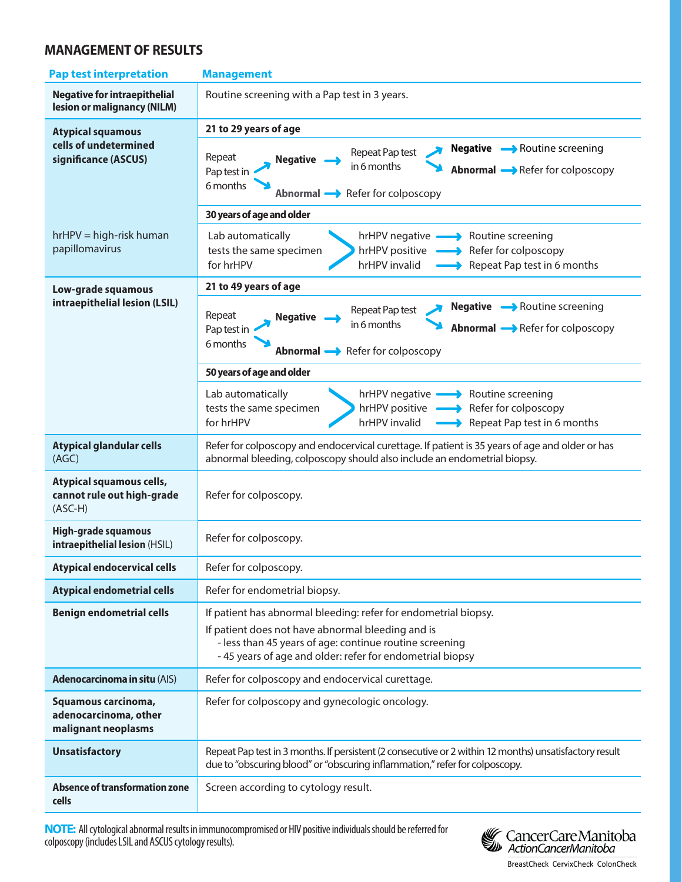## **MANAGEMENT OF RESULTS**

| <b>Pap test interpretation</b>                                                                                                                                                                                                                                                 | <b>Management</b>                                                                                                                                                                                               |  |
|--------------------------------------------------------------------------------------------------------------------------------------------------------------------------------------------------------------------------------------------------------------------------------|-----------------------------------------------------------------------------------------------------------------------------------------------------------------------------------------------------------------|--|
| <b>Negative for intraepithelial</b><br>lesion or malignancy (NILM)                                                                                                                                                                                                             | Routine screening with a Pap test in 3 years.                                                                                                                                                                   |  |
| <b>Atypical squamous</b>                                                                                                                                                                                                                                                       | 21 to 29 years of age                                                                                                                                                                                           |  |
| cells of undetermined<br>significance (ASCUS)                                                                                                                                                                                                                                  | Negative A Routine screening<br>Repeat Pap test<br>Repeat<br><b>Negative</b><br>in 6 months<br><b>Abnormal</b> Refer for colposcopy<br>Pap test in<br>6 months<br>Abnormal Refer for colposcopy                 |  |
|                                                                                                                                                                                                                                                                                | 30 years of age and older                                                                                                                                                                                       |  |
| $hrHPV = high-risk human$<br>papillomavirus                                                                                                                                                                                                                                    | Lab automatically<br>hrHPV negative <b>-</b> Routine screening<br>hrHPV positive - Refer for colposcopy<br>tests the same specimen<br>for hrHPV<br>hrHPV invalid<br>Repeat Pap test in 6 months                 |  |
| Low-grade squamous                                                                                                                                                                                                                                                             | 21 to 49 years of age                                                                                                                                                                                           |  |
| intraepithelial lesion (LSIL)                                                                                                                                                                                                                                                  | Negative  —> Routine screening<br>Repeat Pap test<br>Repeat<br><b>Negative</b><br>in 6 months<br><b>Abnormal</b> Alefer for colposcopy<br>Pap test in<br>6 months<br>Abnormal Refer for colposcopy              |  |
|                                                                                                                                                                                                                                                                                | 50 years of age and older                                                                                                                                                                                       |  |
|                                                                                                                                                                                                                                                                                | Lab automatically<br>hrHPV negative <b>-</b> Routine screening<br>hrHPV positive Refer for colposcopy<br>tests the same specimen<br>for hrHPV<br>hrHPV invalid<br>$\longrightarrow$ Repeat Pap test in 6 months |  |
| <b>Atypical glandular cells</b><br>(AGC)                                                                                                                                                                                                                                       | Refer for colposcopy and endocervical curettage. If patient is 35 years of age and older or has<br>abnormal bleeding, colposcopy should also include an endometrial biopsy.                                     |  |
| Atypical squamous cells,<br>cannot rule out high-grade<br>$(ASC-H)$                                                                                                                                                                                                            | Refer for colposcopy.                                                                                                                                                                                           |  |
| High-grade squamous<br>intraepithelial lesion (HSIL)                                                                                                                                                                                                                           | Refer for colposcopy.                                                                                                                                                                                           |  |
| <b>Atypical endocervical cells</b>                                                                                                                                                                                                                                             | Refer for colposcopy.                                                                                                                                                                                           |  |
| <b>Atypical endometrial cells</b>                                                                                                                                                                                                                                              | Refer for endometrial biopsy.                                                                                                                                                                                   |  |
| <b>Benign endometrial cells</b><br>If patient has abnormal bleeding: refer for endometrial biopsy.<br>If patient does not have abnormal bleeding and is<br>- less than 45 years of age: continue routine screening<br>-45 years of age and older: refer for endometrial biopsy |                                                                                                                                                                                                                 |  |
| <b>Adenocarcinoma in situ (AIS)</b>                                                                                                                                                                                                                                            | Refer for colposcopy and endocervical curettage.                                                                                                                                                                |  |
| Squamous carcinoma,<br>adenocarcinoma, other<br>malignant neoplasms                                                                                                                                                                                                            | Refer for colposcopy and gynecologic oncology.                                                                                                                                                                  |  |
| <b>Unsatisfactory</b>                                                                                                                                                                                                                                                          | Repeat Pap test in 3 months. If persistent (2 consecutive or 2 within 12 months) unsatisfactory result<br>due to "obscuring blood" or "obscuring inflammation," refer for colposcopy.                           |  |
| <b>Absence of transformation zone</b><br>cells                                                                                                                                                                                                                                 | Screen according to cytology result.                                                                                                                                                                            |  |

**NOTE:** All cytological abnormal results in immunocompromised or HIV positive individuals should be referred for colposcopy (includes LSIL and ASCUS cytology results).



BreastCheck CervixCheck ColonCheck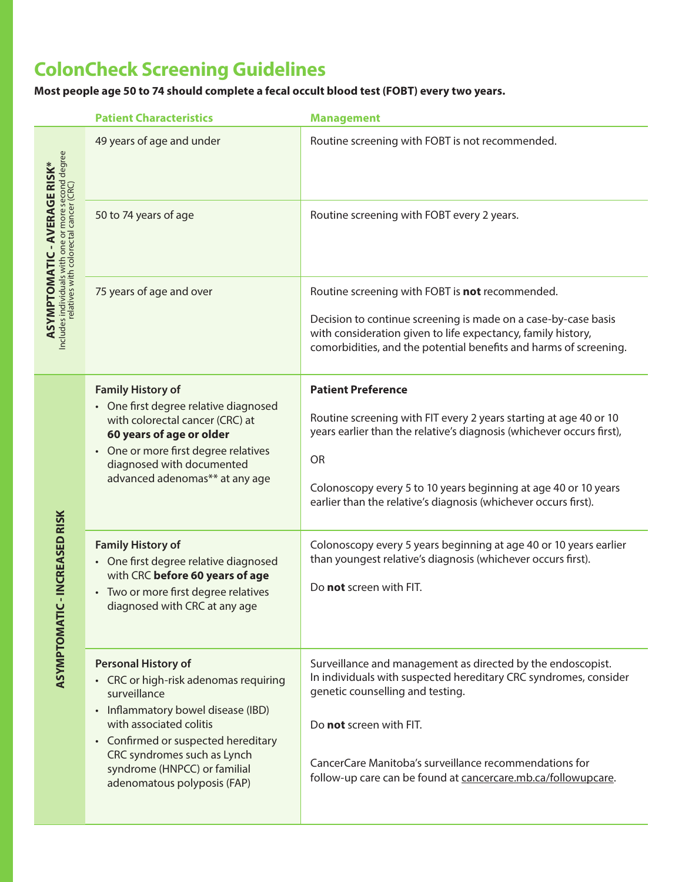# **ColonCheck Screening Guidelines**

**Most people age 50 to 74 should complete a fecal occult blood test (FOBT) every two years.**

|                                                                                               | <b>Patient Characteristics</b>                                                                                                                                                                                                                                                            | <b>Management</b>                                                                                                                                                                                                                                                                                                          |
|-----------------------------------------------------------------------------------------------|-------------------------------------------------------------------------------------------------------------------------------------------------------------------------------------------------------------------------------------------------------------------------------------------|----------------------------------------------------------------------------------------------------------------------------------------------------------------------------------------------------------------------------------------------------------------------------------------------------------------------------|
|                                                                                               | 49 years of age and under                                                                                                                                                                                                                                                                 | Routine screening with FOBT is not recommended.                                                                                                                                                                                                                                                                            |
| <b>ASYMPTOMATIC - AVERAGE RISK*</b>                                                           | 50 to 74 years of age                                                                                                                                                                                                                                                                     | Routine screening with FOBT every 2 years.                                                                                                                                                                                                                                                                                 |
| Includes individuals with one or more second degree<br>relatives with colorectal cancer (CRC) | 75 years of age and over                                                                                                                                                                                                                                                                  | Routine screening with FOBT is not recommended.<br>Decision to continue screening is made on a case-by-case basis<br>with consideration given to life expectancy, family history,<br>comorbidities, and the potential benefits and harms of screening.                                                                     |
|                                                                                               | <b>Family History of</b><br>• One first degree relative diagnosed<br>with colorectal cancer (CRC) at<br>60 years of age or older<br>• One or more first degree relatives<br>diagnosed with documented<br>advanced adenomas** at any age                                                   | <b>Patient Preference</b><br>Routine screening with FIT every 2 years starting at age 40 or 10<br>years earlier than the relative's diagnosis (whichever occurs first),<br><b>OR</b><br>Colonoscopy every 5 to 10 years beginning at age 40 or 10 years<br>earlier than the relative's diagnosis (whichever occurs first). |
| -INCREASED RISK<br>ASYMPTOMATIC                                                               | <b>Family History of</b><br>• One first degree relative diagnosed<br>with CRC before 60 years of age<br>• Two or more first degree relatives<br>diagnosed with CRC at any age                                                                                                             | Colonoscopy every 5 years beginning at age 40 or 10 years earlier<br>than youngest relative's diagnosis (whichever occurs first).<br>Do not screen with FIT.                                                                                                                                                               |
|                                                                                               | <b>Personal History of</b><br>• CRC or high-risk adenomas requiring<br>surveillance<br>• Inflammatory bowel disease (IBD)<br>with associated colitis<br>• Confirmed or suspected hereditary<br>CRC syndromes such as Lynch<br>syndrome (HNPCC) or familial<br>adenomatous polyposis (FAP) | Surveillance and management as directed by the endoscopist.<br>In individuals with suspected hereditary CRC syndromes, consider<br>genetic counselling and testing.<br>Do not screen with FIT.<br>CancerCare Manitoba's surveillance recommendations for<br>follow-up care can be found at cancercare.mb.ca/followupcare.  |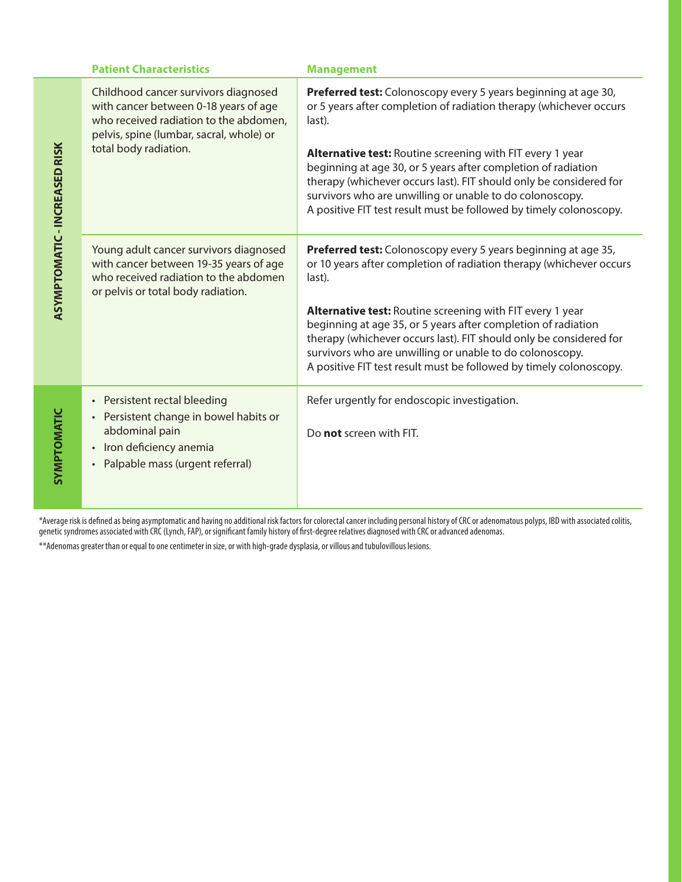|                                      | <b>Patient Characteristics</b>                                                                                                                                                               | <b>Management</b>                                                                                                                                                                                                                                                                                                                                                                                                                                                                            |
|--------------------------------------|----------------------------------------------------------------------------------------------------------------------------------------------------------------------------------------------|----------------------------------------------------------------------------------------------------------------------------------------------------------------------------------------------------------------------------------------------------------------------------------------------------------------------------------------------------------------------------------------------------------------------------------------------------------------------------------------------|
| <b>ASYMPTOMATIC - INCREASED RISK</b> | Childhood cancer survivors diagnosed<br>with cancer between 0-18 years of age<br>who received radiation to the abdomen,<br>pelvis, spine (lumbar, sacral, whole) or<br>total body radiation. | Preferred test: Colonoscopy every 5 years beginning at age 30,<br>or 5 years after completion of radiation therapy (whichever occurs<br>last).<br>Alternative test: Routine screening with FIT every 1 year<br>beginning at age 30, or 5 years after completion of radiation<br>therapy (whichever occurs last). FIT should only be considered for<br>survivors who are unwilling or unable to do colonoscopy.<br>A positive FIT test result must be followed by timely colonoscopy.         |
|                                      | Young adult cancer survivors diagnosed<br>with cancer between 19-35 years of age<br>who received radiation to the abdomen<br>or pelvis or total body radiation.                              | Preferred test: Colonoscopy every 5 years beginning at age 35,<br>or 10 years after completion of radiation therapy (whichever occurs<br>last).<br><b>Alternative test: Routine screening with FIT every 1 year</b><br>beginning at age 35, or 5 years after completion of radiation<br>therapy (whichever occurs last). FIT should only be considered for<br>survivors who are unwilling or unable to do colonoscopy.<br>A positive FIT test result must be followed by timely colonoscopy. |
| SYMPTOMATIC                          | Persistent rectal bleeding<br>$\bullet$<br>• Persistent change in bowel habits or<br>abdominal pain<br>Iron deficiency anemia<br>$\bullet$<br>Palpable mass (urgent referral)<br>$\bullet$   | Refer urgently for endoscopic investigation.<br>Do not screen with FIT.                                                                                                                                                                                                                                                                                                                                                                                                                      |

\*Average risk is defined as being asymptomatic and having no additional risk factors for colorectal cancer including personal history of CRC or adenomatous polyps, IBD with associated colitis, genetic syndromes associated with CRC (Lynch, FAP), or significant family history of first-degree relatives diagnosed with CRC or advanced adenomas.

\*\*Adenomas greater than or equal to one centimeter in size, or with high-grade dysplasia, or villous and tubulovillous lesions.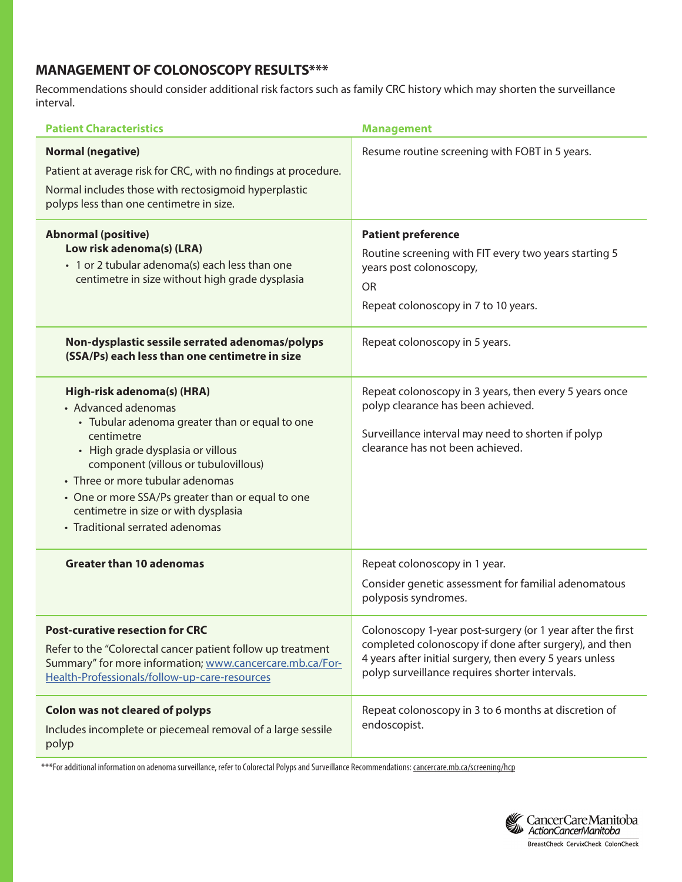## **MANAGEMENT OF COLONOSCOPY RESULTS\*\*\***

Recommendations should consider additional risk factors such as family CRC history which may shorten the surveillance interval.

| <b>Patient Characteristics</b>                                                                                                                                                                                                                                                                                                                                     | <b>Management</b>                                                                                                                                                                                                                  |
|--------------------------------------------------------------------------------------------------------------------------------------------------------------------------------------------------------------------------------------------------------------------------------------------------------------------------------------------------------------------|------------------------------------------------------------------------------------------------------------------------------------------------------------------------------------------------------------------------------------|
| <b>Normal (negative)</b><br>Patient at average risk for CRC, with no findings at procedure.<br>Normal includes those with rectosigmoid hyperplastic<br>polyps less than one centimetre in size.                                                                                                                                                                    | Resume routine screening with FOBT in 5 years.                                                                                                                                                                                     |
| <b>Abnormal (positive)</b><br>Low risk adenoma(s) (LRA)<br>• 1 or 2 tubular adenoma(s) each less than one<br>centimetre in size without high grade dysplasia                                                                                                                                                                                                       | <b>Patient preference</b><br>Routine screening with FIT every two years starting 5<br>years post colonoscopy,<br><b>OR</b><br>Repeat colonoscopy in 7 to 10 years.                                                                 |
| Non-dysplastic sessile serrated adenomas/polyps<br>(SSA/Ps) each less than one centimetre in size                                                                                                                                                                                                                                                                  | Repeat colonoscopy in 5 years.                                                                                                                                                                                                     |
| High-risk adenoma(s) (HRA)<br>• Advanced adenomas<br>• Tubular adenoma greater than or equal to one<br>centimetre<br>• High grade dysplasia or villous<br>component (villous or tubulovillous)<br>• Three or more tubular adenomas<br>• One or more SSA/Ps greater than or equal to one<br>centimetre in size or with dysplasia<br>• Traditional serrated adenomas | Repeat colonoscopy in 3 years, then every 5 years once<br>polyp clearance has been achieved.<br>Surveillance interval may need to shorten if polyp<br>clearance has not been achieved.                                             |
| <b>Greater than 10 adenomas</b>                                                                                                                                                                                                                                                                                                                                    | Repeat colonoscopy in 1 year.<br>Consider genetic assessment for familial adenomatous<br>polyposis syndromes.                                                                                                                      |
| <b>Post-curative resection for CRC</b><br>Refer to the "Colorectal cancer patient follow up treatment<br>Summary" for more information; www.cancercare.mb.ca/For-<br>Health-Professionals/follow-up-care-resources                                                                                                                                                 | Colonoscopy 1-year post-surgery (or 1 year after the first<br>completed colonoscopy if done after surgery), and then<br>4 years after initial surgery, then every 5 years unless<br>polyp surveillance requires shorter intervals. |
| <b>Colon was not cleared of polyps</b><br>Includes incomplete or piecemeal removal of a large sessile<br>polyp                                                                                                                                                                                                                                                     | Repeat colonoscopy in 3 to 6 months at discretion of<br>endoscopist.                                                                                                                                                               |

\*\*\*For additional information on adenoma surveillance, refer to Colorectal Polyps and Surveillance Recommendations: [cancercare.mb.ca/screening/hcp](https://www.cancercare.mb.ca/screening/hcp)

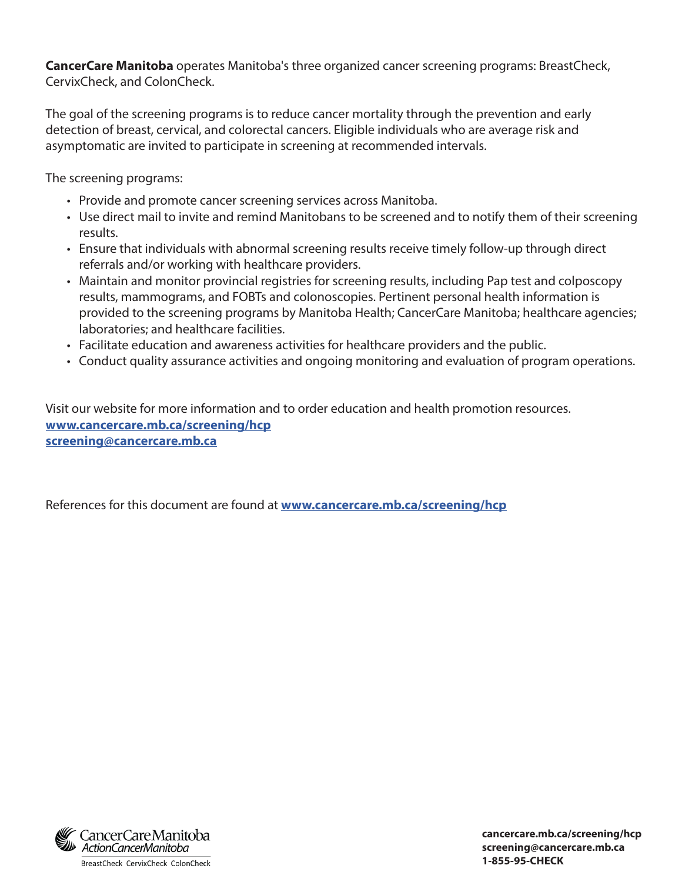**CancerCare Manitoba** operates Manitoba's three organized cancer screening programs: BreastCheck, CervixCheck, and ColonCheck.

The goal of the screening programs is to reduce cancer mortality through the prevention and early detection of breast, cervical, and colorectal cancers. Eligible individuals who are average risk and asymptomatic are invited to participate in screening at recommended intervals.

The screening programs:

- Provide and promote cancer screening services across Manitoba.
- Use direct mail to invite and remind Manitobans to be screened and to notify them of their screening results.
- Ensure that individuals with abnormal screening results receive timely follow-up through direct referrals and/or working with healthcare providers.
- Maintain and monitor provincial registries for screening results, including Pap test and colposcopy results, mammograms, and FOBTs and colonoscopies. Pertinent personal health information is provided to the screening programs by Manitoba Health; CancerCare Manitoba; healthcare agencies; laboratories; and healthcare facilities.
- Facilitate education and awareness activities for healthcare providers and the public.
- Conduct quality assurance activities and ongoing monitoring and evaluation of program operations.

Visit our website for more information and to order education and health promotion resources. **[www.cancercare.mb.ca/screening/hcp](https://www.cancercare.mb.ca/screening/hcp) screenin[g@cancercare.mb.ca](mailto:GetChecked%40cancercare.mb.ca%20?subject=)**

References for this document are found at **[www.cancercare.mb.ca/screening](https://www.cancercare.mb.ca/screening/hcp)/hcp**